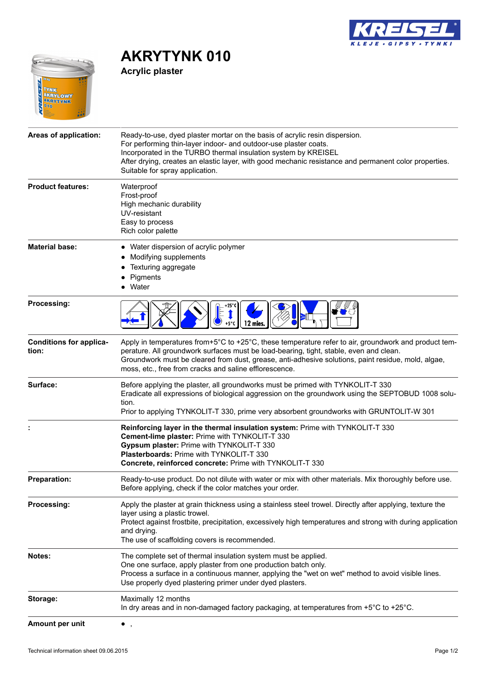

## $\sqrt{2}$ **TEICAD TYNK<br>AKRYLOWY<br>AKRYTYNKK**<br>010

**AKRYTYNK 010 Acrylic plaster**

| Areas of application:                   | Ready-to-use, dyed plaster mortar on the basis of acrylic resin dispersion.                                                                                                                                                                                                                                                                                    |
|-----------------------------------------|----------------------------------------------------------------------------------------------------------------------------------------------------------------------------------------------------------------------------------------------------------------------------------------------------------------------------------------------------------------|
|                                         | For performing thin-layer indoor- and outdoor-use plaster coats.<br>Incorporated in the TURBO thermal insulation system by KREISEL<br>After drying, creates an elastic layer, with good mechanic resistance and permanent color properties.<br>Suitable for spray application.                                                                                 |
| <b>Product features:</b>                | Waterproof<br>Frost-proof<br>High mechanic durability<br>UV-resistant                                                                                                                                                                                                                                                                                          |
|                                         | Easy to process<br>Rich color palette                                                                                                                                                                                                                                                                                                                          |
| <b>Material base:</b>                   | • Water dispersion of acrylic polymer<br>Modifying supplements<br>Texturing aggregate<br>Pigments<br>Water                                                                                                                                                                                                                                                     |
| Processing:                             | 12 mies                                                                                                                                                                                                                                                                                                                                                        |
| <b>Conditions for applica-</b><br>tion: | Apply in temperatures from+5°C to +25°C, these temperature refer to air, groundwork and product tem-<br>perature. All groundwork surfaces must be load-bearing, tight, stable, even and clean.<br>Groundwork must be cleared from dust, grease, anti-adhesive solutions, paint residue, mold, algae,<br>moss, etc., free from cracks and saline efflorescence. |
| Surface:                                | Before applying the plaster, all groundworks must be primed with TYNKOLIT-T 330<br>Eradicate all expressions of biological aggression on the groundwork using the SEPTOBUD 1008 solu-<br>tion.<br>Prior to applying TYNKOLIT-T 330, prime very absorbent groundworks with GRUNTOLIT-W 301                                                                      |
|                                         | Reinforcing layer in the thermal insulation system: Prime with TYNKOLIT-T 330<br>Cement-lime plaster: Prime with TYNKOLIT-T 330<br>Gypsum plaster: Prime with TYNKOLIT-T 330<br><b>Plasterboards: Prime with TYNKOLIT-T 330</b><br>Concrete, reinforced concrete: Prime with TYNKOLIT-T 330                                                                    |
| <b>Preparation:</b>                     | Ready-to-use product. Do not dilute with water or mix with other materials. Mix thoroughly before use.<br>Before applying, check if the color matches your order.                                                                                                                                                                                              |
| Processing:                             | Apply the plaster at grain thickness using a stainless steel trowel. Directly after applying, texture the<br>layer using a plastic trowel.<br>Protect against frostbite, precipitation, excessively high temperatures and strong with during application<br>and drying.<br>The use of scaffolding covers is recommended.                                       |
| Notes:                                  | The complete set of thermal insulation system must be applied.<br>One one surface, apply plaster from one production batch only.<br>Process a surface in a continuous manner, applying the "wet on wet" method to avoid visible lines.<br>Use properly dyed plastering primer under dyed plasters.                                                             |
| Storage:                                | Maximally 12 months<br>In dry areas and in non-damaged factory packaging, at temperatures from +5°C to +25°C.                                                                                                                                                                                                                                                  |
| Amount per unit                         | $\overline{\phantom{a}}$                                                                                                                                                                                                                                                                                                                                       |